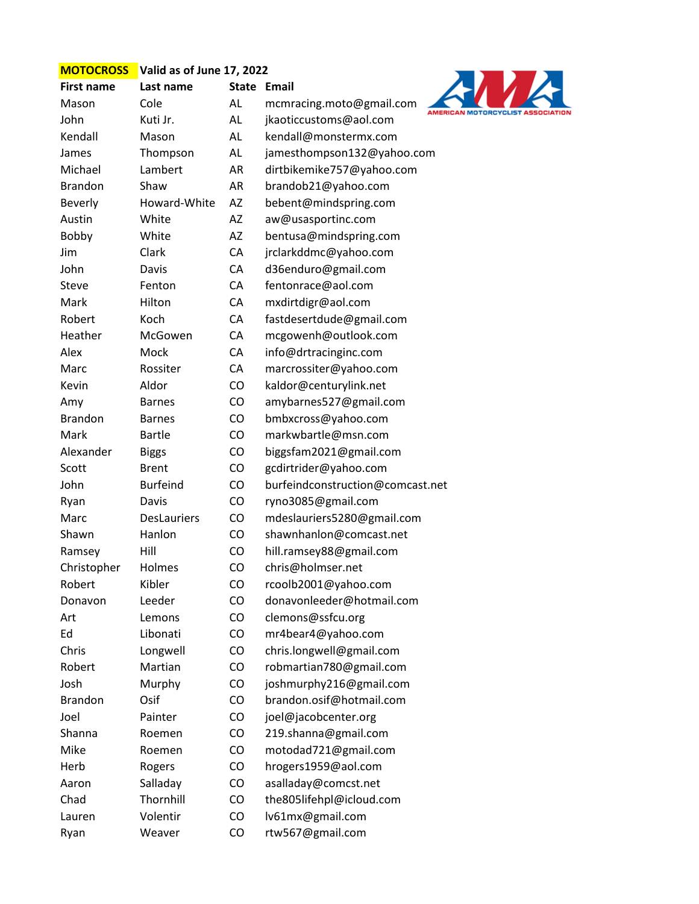## **MOTOCROSS Valid as of June 17, 2022**



| <b>First name</b> | Last name                                                                                                                                                                                                                                                                                                                                                                                                                          | <b>State</b> | Email                                      |
|-------------------|------------------------------------------------------------------------------------------------------------------------------------------------------------------------------------------------------------------------------------------------------------------------------------------------------------------------------------------------------------------------------------------------------------------------------------|--------------|--------------------------------------------|
|                   | Cole                                                                                                                                                                                                                                                                                                                                                                                                                               | AL           | mcmracing.moto@gmail.com<br><b>AMERICA</b> |
|                   | Kuti Jr.                                                                                                                                                                                                                                                                                                                                                                                                                           | AL           | jkaoticcustoms@aol.com                     |
|                   | Mason                                                                                                                                                                                                                                                                                                                                                                                                                              | AL           | kendall@monstermx.com                      |
|                   | Thompson                                                                                                                                                                                                                                                                                                                                                                                                                           | AL           | jamesthompson132@yahoo.com                 |
|                   | Lambert                                                                                                                                                                                                                                                                                                                                                                                                                            | AR           | dirtbikemike757@yahoo.com                  |
|                   | Shaw                                                                                                                                                                                                                                                                                                                                                                                                                               | <b>AR</b>    | brandob21@yahoo.com                        |
|                   | Howard-White                                                                                                                                                                                                                                                                                                                                                                                                                       | AZ           | bebent@mindspring.com                      |
|                   | White                                                                                                                                                                                                                                                                                                                                                                                                                              | AZ           | aw@usasportinc.com                         |
|                   | White                                                                                                                                                                                                                                                                                                                                                                                                                              | AZ           | bentusa@mindspring.com                     |
|                   | Clark                                                                                                                                                                                                                                                                                                                                                                                                                              | CA           | jrclarkddmc@yahoo.com                      |
|                   | Davis                                                                                                                                                                                                                                                                                                                                                                                                                              | CA           | d36enduro@gmail.com                        |
|                   | Fenton                                                                                                                                                                                                                                                                                                                                                                                                                             | CA           | fentonrace@aol.com                         |
|                   | Hilton                                                                                                                                                                                                                                                                                                                                                                                                                             | CA           | mxdirtdigr@aol.com                         |
|                   | Koch                                                                                                                                                                                                                                                                                                                                                                                                                               | CA           | fastdesertdude@gmail.com                   |
|                   | McGowen                                                                                                                                                                                                                                                                                                                                                                                                                            | CA           | mcgowenh@outlook.com                       |
|                   | Mock                                                                                                                                                                                                                                                                                                                                                                                                                               | CA           | info@drtracinginc.com                      |
|                   | Rossiter                                                                                                                                                                                                                                                                                                                                                                                                                           | CA           | marcrossiter@yahoo.com                     |
|                   | Aldor                                                                                                                                                                                                                                                                                                                                                                                                                              | CO           | kaldor@centurylink.net                     |
|                   | <b>Barnes</b>                                                                                                                                                                                                                                                                                                                                                                                                                      | CO           | amybarnes527@gmail.com                     |
|                   | <b>Barnes</b>                                                                                                                                                                                                                                                                                                                                                                                                                      | CO           | bmbxcross@yahoo.com                        |
|                   | <b>Bartle</b>                                                                                                                                                                                                                                                                                                                                                                                                                      | CO           | markwbartle@msn.com                        |
|                   | <b>Biggs</b>                                                                                                                                                                                                                                                                                                                                                                                                                       | CO           | biggsfam2021@gmail.com                     |
|                   | <b>Brent</b>                                                                                                                                                                                                                                                                                                                                                                                                                       | CO           | gcdirtrider@yahoo.com                      |
|                   | <b>Burfeind</b>                                                                                                                                                                                                                                                                                                                                                                                                                    | CO           | burfeindconstruction@comcast.net           |
|                   | Davis                                                                                                                                                                                                                                                                                                                                                                                                                              | CO           | ryno3085@gmail.com                         |
|                   | <b>DesLauriers</b>                                                                                                                                                                                                                                                                                                                                                                                                                 | CO           | mdeslauriers5280@gmail.com                 |
|                   | Hanlon                                                                                                                                                                                                                                                                                                                                                                                                                             | CO           | shawnhanlon@comcast.net                    |
|                   | Hill                                                                                                                                                                                                                                                                                                                                                                                                                               | CO           | hill.ramsey88@gmail.com                    |
|                   | Holmes                                                                                                                                                                                                                                                                                                                                                                                                                             | <b>CO</b>    | chris@holmser.net                          |
| Robert            | Kibler                                                                                                                                                                                                                                                                                                                                                                                                                             | CO           | rcoolb2001@yahoo.com                       |
|                   | Leeder                                                                                                                                                                                                                                                                                                                                                                                                                             | CO           | donavonleeder@hotmail.com                  |
|                   | Lemons                                                                                                                                                                                                                                                                                                                                                                                                                             | CO           | clemons@ssfcu.org                          |
|                   | Libonati                                                                                                                                                                                                                                                                                                                                                                                                                           | CO           | mr4bear4@yahoo.com                         |
|                   | Longwell                                                                                                                                                                                                                                                                                                                                                                                                                           | CO           | chris.longwell@gmail.com                   |
|                   | Martian                                                                                                                                                                                                                                                                                                                                                                                                                            | CO           | robmartian780@gmail.com                    |
|                   | Murphy                                                                                                                                                                                                                                                                                                                                                                                                                             | CO           | joshmurphy216@gmail.com                    |
|                   | Osif                                                                                                                                                                                                                                                                                                                                                                                                                               | CO           | brandon.osif@hotmail.com                   |
|                   | Painter                                                                                                                                                                                                                                                                                                                                                                                                                            | CO           | joel@jacobcenter.org                       |
|                   | Roemen                                                                                                                                                                                                                                                                                                                                                                                                                             | CO           | 219.shanna@gmail.com                       |
|                   | Roemen                                                                                                                                                                                                                                                                                                                                                                                                                             | CO           | motodad721@gmail.com                       |
|                   | Rogers                                                                                                                                                                                                                                                                                                                                                                                                                             | CO           | hrogers1959@aol.com                        |
|                   | Salladay                                                                                                                                                                                                                                                                                                                                                                                                                           | CO           | asalladay@comcst.net                       |
|                   | Thornhill                                                                                                                                                                                                                                                                                                                                                                                                                          | CO           | the805lifehpl@icloud.com                   |
| Lauren            | Volentir                                                                                                                                                                                                                                                                                                                                                                                                                           | CO           | lv61mx@gmail.com                           |
|                   | Weaver                                                                                                                                                                                                                                                                                                                                                                                                                             | CO           | rtw567@gmail.com                           |
|                   | Mason<br>John<br>Kendall<br>James<br>Michael<br><b>Brandon</b><br><b>Beverly</b><br>Austin<br>Bobby<br>Jim<br>John<br>Steve<br>Mark<br>Robert<br>Heather<br>Alex<br>Marc<br>Kevin<br>Amy<br><b>Brandon</b><br>Mark<br>Alexander<br>Scott<br>John<br>Ryan<br>Marc<br>Shawn<br>Ramsey<br>Christopher<br>Donavon<br>Art<br>Ed<br>Chris<br>Robert<br>Josh<br><b>Brandon</b><br>Joel<br>Shanna<br>Mike<br>Herb<br>Aaron<br>Chad<br>Ryan |              |                                            |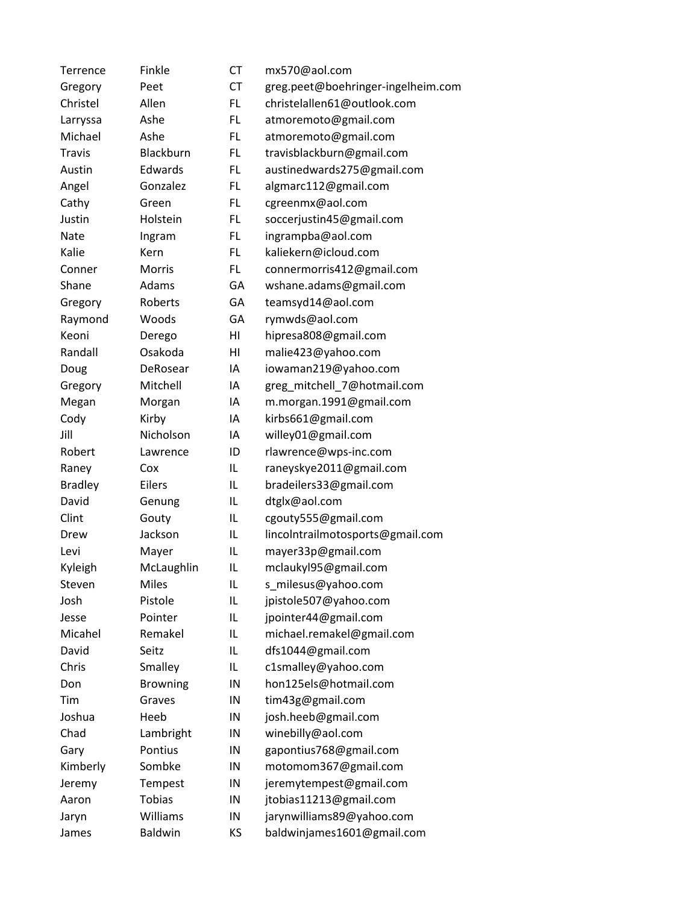| Terrence       | Finkle          | <b>CT</b> | mx570@aol.com                      |
|----------------|-----------------|-----------|------------------------------------|
| Gregory        | Peet            | <b>CT</b> | greg.peet@boehringer-ingelheim.com |
| Christel       | Allen           | FL        | christelallen61@outlook.com        |
| Larryssa       | Ashe            | FL        | atmoremoto@gmail.com               |
| Michael        | Ashe            | FL        | atmoremoto@gmail.com               |
| <b>Travis</b>  | Blackburn       | FL.       | travisblackburn@gmail.com          |
| Austin         | Edwards         | FL.       | austinedwards275@gmail.com         |
| Angel          | Gonzalez        | FL.       | algmarc112@gmail.com               |
| Cathy          | Green           | FL        | cgreenmx@aol.com                   |
| Justin         | Holstein        | FL        | soccerjustin45@gmail.com           |
| Nate           | Ingram          | FL.       | ingrampba@aol.com                  |
| Kalie          | Kern            | FL        | kaliekern@icloud.com               |
| Conner         | Morris          | FL.       | connermorris412@gmail.com          |
| Shane          | Adams           | GA        | wshane.adams@gmail.com             |
| Gregory        | Roberts         | GA        | teamsyd14@aol.com                  |
| Raymond        | Woods           | GA        | rymwds@aol.com                     |
| Keoni          | Derego          | HI        | hipresa808@gmail.com               |
| Randall        | Osakoda         | HI        | malie423@yahoo.com                 |
| Doug           | DeRosear        | ΙA        | iowaman219@yahoo.com               |
| Gregory        | Mitchell        | ΙA        | greg_mitchell_7@hotmail.com        |
| Megan          | Morgan          | ΙA        | m.morgan.1991@gmail.com            |
| Cody           | Kirby           | ΙA        | kirbs661@gmail.com                 |
| Jill           | Nicholson       | ΙA        | willey01@gmail.com                 |
| Robert         | Lawrence        | ID        | rlawrence@wps-inc.com              |
| Raney          | Cox             | IL        | raneyskye2011@gmail.com            |
| <b>Bradley</b> | Eilers          | IL        | bradeilers33@gmail.com             |
| David          | Genung          | IL        | dtglx@aol.com                      |
| Clint          | Gouty           | IL        | cgouty555@gmail.com                |
| Drew           | Jackson         | IL        | lincolntrailmotosports@gmail.com   |
| Levi           | Mayer           | IL        | mayer33p@gmail.com                 |
| Kyleigh        | McLaughlin      | IL        | mclaukyl95@gmail.com               |
| Steven         | <b>Miles</b>    | IL        | s_milesus@yahoo.com                |
| Josh           | Pistole         | IL        | jpistole507@yahoo.com              |
| Jesse          | Pointer         | IL        | jpointer44@gmail.com               |
| Micahel        | Remakel         | IL        | michael.remakel@gmail.com          |
| David          | Seitz           | IL        | dfs1044@gmail.com                  |
| Chris          | Smalley         | IL        | c1smalley@yahoo.com                |
| Don            | <b>Browning</b> | IN        | hon125els@hotmail.com              |
| Tim            | Graves          | IN        | tim43g@gmail.com                   |
| Joshua         | Heeb            | IN        | josh.heeb@gmail.com                |
| Chad           | Lambright       | IN        | winebilly@aol.com                  |
| Gary           | Pontius         | IN        | gapontius768@gmail.com             |
| Kimberly       | Sombke          | IN        | motomom367@gmail.com               |
| Jeremy         | Tempest         | IN        | jeremytempest@gmail.com            |
| Aaron          | <b>Tobias</b>   | IN        | jtobias11213@gmail.com             |
| Jaryn          | Williams        | IN        | jarynwilliams89@yahoo.com          |
| James          | <b>Baldwin</b>  | ΚS        | baldwinjames1601@gmail.com         |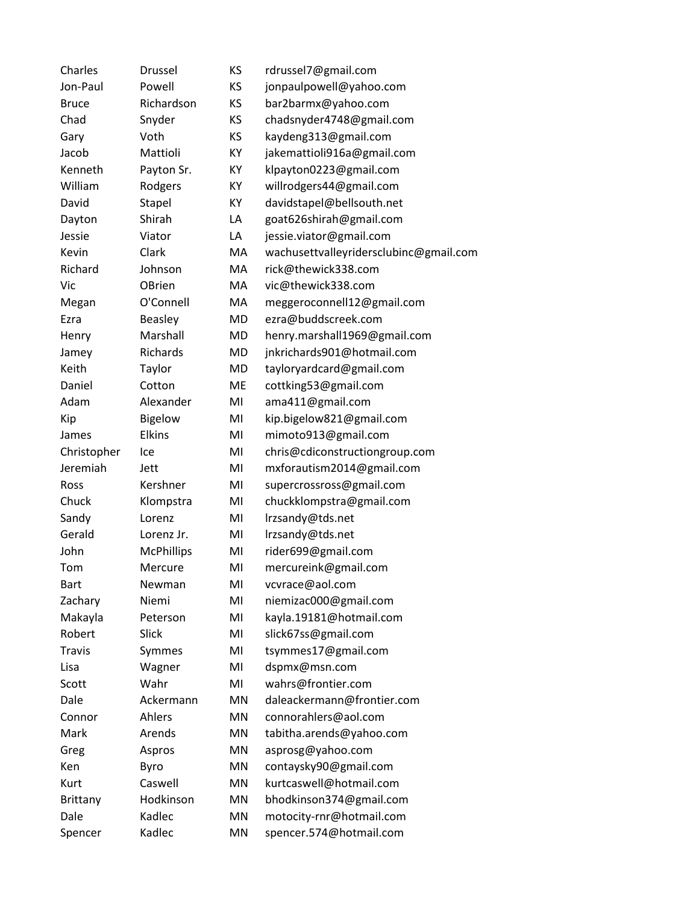| Charles       | Drussel           | KS | rdrussel7@gmail.com                    |
|---------------|-------------------|----|----------------------------------------|
| Jon-Paul      | Powell            | KS | jonpaulpowell@yahoo.com                |
| <b>Bruce</b>  | Richardson        | KS | bar2barmx@yahoo.com                    |
| Chad          | Snyder            | ΚS | chadsnyder4748@gmail.com               |
| Gary          | Voth              | KS | kaydeng313@gmail.com                   |
| Jacob         | Mattioli          | KY | jakemattioli916a@gmail.com             |
| Kenneth       | Payton Sr.        | КY | klpayton0223@gmail.com                 |
| William       | Rodgers           | КY | willrodgers44@gmail.com                |
| David         | Stapel            | КY | davidstapel@bellsouth.net              |
| Dayton        | Shirah            | LA | goat626shirah@gmail.com                |
| Jessie        | Viator            | LA | jessie.viator@gmail.com                |
| Kevin         | Clark             | MA | wachusettvalleyridersclubinc@gmail.com |
| Richard       | Johnson           | MA | rick@thewick338.com                    |
| Vic           | <b>OBrien</b>     | МA | vic@thewick338.com                     |
| Megan         | O'Connell         | MA | meggeroconnell12@gmail.com             |
| Ezra          | <b>Beasley</b>    | MD | ezra@buddscreek.com                    |
| Henry         | Marshall          | MD | henry.marshall1969@gmail.com           |
| Jamey         | Richards          | MD | jnkrichards901@hotmail.com             |
| Keith         | Taylor            | MD | tayloryardcard@gmail.com               |
| Daniel        | Cotton            | ME | cottking53@gmail.com                   |
| Adam          | Alexander         | MI | ama411@gmail.com                       |
| Kip           | Bigelow           | MI | kip.bigelow821@gmail.com               |
| James         | <b>Elkins</b>     | MI | mimoto913@gmail.com                    |
| Christopher   | Ice               | MI | chris@cdiconstructiongroup.com         |
| Jeremiah      | Jett              | MI | mxforautism2014@gmail.com              |
| Ross          | Kershner          | MI | supercrossross@gmail.com               |
| Chuck         | Klompstra         | MI | chuckklompstra@gmail.com               |
| Sandy         | Lorenz            | MI | Irzsandy@tds.net                       |
| Gerald        | Lorenz Jr.        | MI | Irzsandy@tds.net                       |
| John          | <b>McPhillips</b> | MI | rider699@gmail.com                     |
| Tom           | Mercure           | MI | mercureink@gmail.com                   |
| <b>Bart</b>   | Newman            | MI | vcvrace@aol.com                        |
| Zachary       | Niemi             | MI | niemizac000@gmail.com                  |
| Makayla       | Peterson          | MI | kayla.19181@hotmail.com                |
| Robert        | Slick             | MI | slick67ss@gmail.com                    |
| <b>Travis</b> | Symmes            | MI | tsymmes17@gmail.com                    |
| Lisa          | Wagner            | MI | dspmx@msn.com                          |
| Scott         | Wahr              | MI | wahrs@frontier.com                     |
| Dale          | Ackermann         | MN | daleackermann@frontier.com             |
| Connor        | Ahlers            | MN | connorahlers@aol.com                   |
| Mark          | Arends            | MN | tabitha.arends@yahoo.com               |
| Greg          | Aspros            | MN | asprosg@yahoo.com                      |
| Ken           | <b>Byro</b>       | MN | contaysky90@gmail.com                  |
| Kurt          | Caswell           | MN | kurtcaswell@hotmail.com                |
| Brittany      | Hodkinson         | MN | bhodkinson374@gmail.com                |
| Dale          | Kadlec            | MN | motocity-rnr@hotmail.com               |
| Spencer       | Kadlec            | MN | spencer.574@hotmail.com                |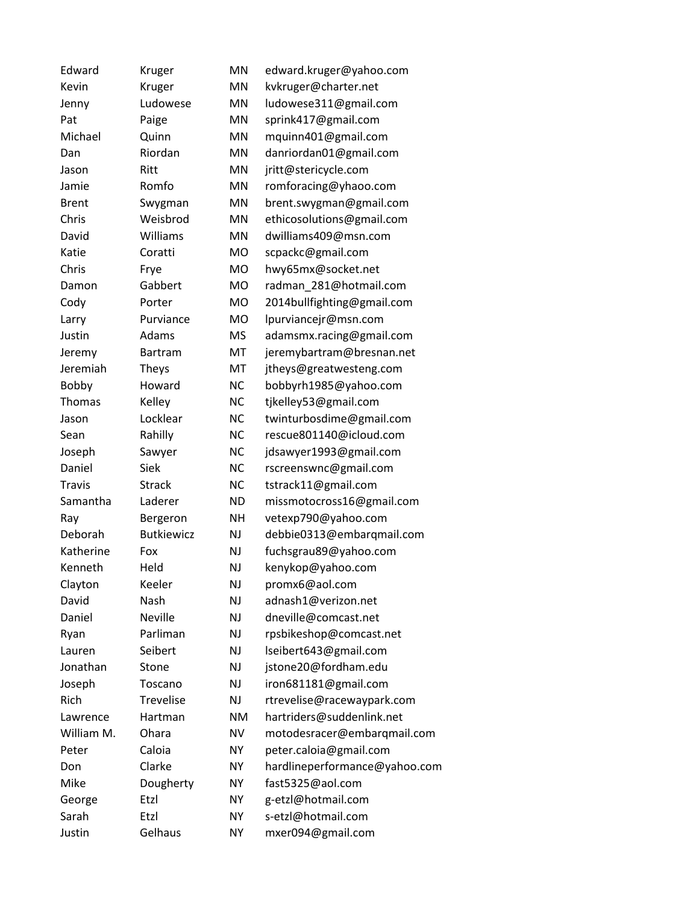| Edward        | Kruger            | MN        | edward.kruger@yahoo.com       |
|---------------|-------------------|-----------|-------------------------------|
| Kevin         | Kruger            | MN        | kvkruger@charter.net          |
| Jenny         | Ludowese          | <b>MN</b> | ludowese311@gmail.com         |
| Pat           | Paige             | MN        | sprink417@gmail.com           |
| Michael       | Quinn             | <b>MN</b> | mquinn401@gmail.com           |
| Dan           | Riordan           | MN        | danriordan01@gmail.com        |
| Jason         | Ritt              | MN        | jritt@stericycle.com          |
| Jamie         | Romfo             | <b>MN</b> | romforacing@yhaoo.com         |
| <b>Brent</b>  | Swygman           | <b>MN</b> | brent.swygman@gmail.com       |
| Chris         | Weisbrod          | MN        | ethicosolutions@gmail.com     |
| David         | Williams          | MN        | dwilliams409@msn.com          |
| Katie         | Coratti           | <b>MO</b> | scpackc@gmail.com             |
| Chris         | Frye              | MO        | hwy65mx@socket.net            |
| Damon         | Gabbert           | <b>MO</b> | radman_281@hotmail.com        |
| Cody          | Porter            | <b>MO</b> | 2014bullfighting@gmail.com    |
| Larry         | Purviance         | <b>MO</b> | lpurviancejr@msn.com          |
| Justin        | Adams             | <b>MS</b> | adamsmx.racing@gmail.com      |
| Jeremy        | Bartram           | MT        | jeremybartram@bresnan.net     |
| Jeremiah      | <b>Theys</b>      | MT        | jtheys@greatwesteng.com       |
| Bobby         | Howard            | <b>NC</b> | bobbyrh1985@yahoo.com         |
| Thomas        | Kelley            | <b>NC</b> | tjkelley53@gmail.com          |
| Jason         | Locklear          | <b>NC</b> | twinturbosdime@gmail.com      |
| Sean          | Rahilly           | <b>NC</b> | rescue801140@icloud.com       |
| Joseph        | Sawyer            | <b>NC</b> | jdsawyer1993@gmail.com        |
| Daniel        | Siek              | <b>NC</b> | rscreenswnc@gmail.com         |
| <b>Travis</b> | <b>Strack</b>     | <b>NC</b> | tstrack11@gmail.com           |
| Samantha      | Laderer           | <b>ND</b> | missmotocross16@gmail.com     |
| Ray           | Bergeron          | <b>NH</b> | vetexp790@yahoo.com           |
| Deborah       | <b>Butkiewicz</b> | <b>NJ</b> | debbie0313@embarqmail.com     |
| Katherine     | Fox               | NJ        | fuchsgrau89@yahoo.com         |
| Kenneth       | Held              | NJ        | kenykop@yahoo.com             |
| Clayton       | Keeler            | NJ        | promx6@aol.com                |
| David         | Nash              | NJ        | adnash1@verizon.net           |
| Daniel        | Neville           | NJ.       | dneville@comcast.net          |
| Ryan          | Parliman          | NJ        | rpsbikeshop@comcast.net       |
| Lauren        | Seibert           | NJ.       | lseibert643@gmail.com         |
| Jonathan      | Stone             | NJ        | jstone20@fordham.edu          |
| Joseph        | Toscano           | <b>NJ</b> | iron681181@gmail.com          |
| Rich          | Trevelise         | NJ        | rtrevelise@racewaypark.com    |
| Lawrence      | Hartman           | <b>NM</b> | hartriders@suddenlink.net     |
| William M.    | Ohara             | <b>NV</b> | motodesracer@embarqmail.com   |
| Peter         | Caloia            | NY        | peter.caloia@gmail.com        |
| Don           | Clarke            | <b>NY</b> | hardlineperformance@yahoo.com |
| Mike          | Dougherty         | <b>NY</b> | fast5325@aol.com              |
| George        | Etzl              | <b>NY</b> | g-etzl@hotmail.com            |
| Sarah         | Etzl              | <b>NY</b> | s-etzl@hotmail.com            |
| Justin        | Gelhaus           | <b>NY</b> | mxer094@gmail.com             |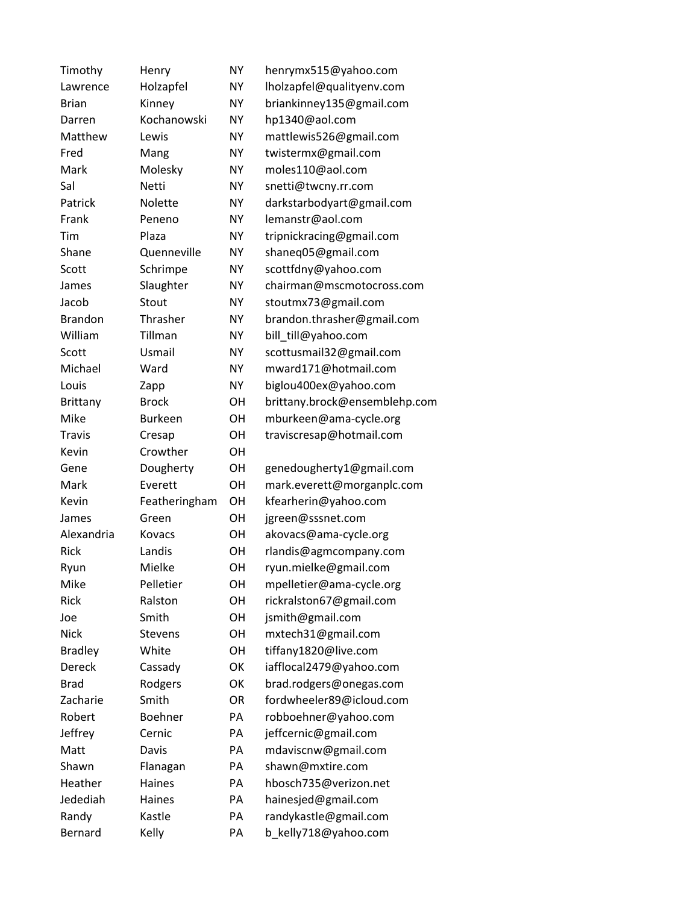| Timothy         | Henry          | <b>NY</b> | henrymx515@yahoo.com          |
|-----------------|----------------|-----------|-------------------------------|
| Lawrence        | Holzapfel      | <b>NY</b> | Iholzapfel@qualityenv.com     |
| <b>Brian</b>    | Kinney         | <b>NY</b> | briankinney135@gmail.com      |
| Darren          | Kochanowski    | <b>NY</b> | hp1340@aol.com                |
| Matthew         | Lewis          | <b>NY</b> | mattlewis526@gmail.com        |
| Fred            | Mang           | <b>NY</b> | twistermx@gmail.com           |
| Mark            | Molesky        | <b>NY</b> | moles110@aol.com              |
| Sal             | <b>Netti</b>   | <b>NY</b> | snetti@twcny.rr.com           |
| Patrick         | <b>Nolette</b> | <b>NY</b> | darkstarbodyart@gmail.com     |
| Frank           | Peneno         | <b>NY</b> | lemanstr@aol.com              |
| Tim             | Plaza          | <b>NY</b> | tripnickracing@gmail.com      |
| Shane           | Quenneville    | <b>NY</b> | shaneq05@gmail.com            |
| Scott           | Schrimpe       | <b>NY</b> | scottfdny@yahoo.com           |
| James           | Slaughter      | <b>NY</b> | chairman@mscmotocross.com     |
| Jacob           | Stout          | <b>NY</b> | stoutmx73@gmail.com           |
| <b>Brandon</b>  | Thrasher       | <b>NY</b> | brandon.thrasher@gmail.com    |
| William         | Tillman        | <b>NY</b> | bill_till@yahoo.com           |
| Scott           | Usmail         | ΝY        | scottusmail32@gmail.com       |
| Michael         | Ward           | <b>NY</b> | mward171@hotmail.com          |
| Louis           | Zapp           | <b>NY</b> | biglou400ex@yahoo.com         |
| <b>Brittany</b> | <b>Brock</b>   | OН        | brittany.brock@ensemblehp.com |
| Mike            | <b>Burkeen</b> | OН        | mburkeen@ama-cycle.org        |
| <b>Travis</b>   | Cresap         | OН        | traviscresap@hotmail.com      |
| Kevin           | Crowther       | OH        |                               |
| Gene            | Dougherty      | OH        | genedougherty1@gmail.com      |
| Mark            | Everett        | OH        | mark.everett@morganplc.com    |
| Kevin           | Featheringham  | OH        | kfearherin@yahoo.com          |
| James           | Green          | <b>OH</b> | jgreen@sssnet.com             |
| Alexandria      | Kovacs         | OH        | akovacs@ama-cycle.org         |
| Rick            | Landis         | OH        | rlandis@agmcompany.com        |
| Ryun            | Mielke         | OH        | ryun.mielke@gmail.com         |
| Mike            | Pelletier      | OH        | mpelletier@ama-cycle.org      |
| Rick            | Ralston        | OH        | rickralston67@gmail.com       |
| Joe             | Smith          | OH        | jsmith@gmail.com              |
| <b>Nick</b>     | <b>Stevens</b> | OH        | mxtech31@gmail.com            |
| <b>Bradley</b>  | White          | OH        | tiffany1820@live.com          |
| Dereck          | Cassady        | OK        | iafflocal2479@yahoo.com       |
| <b>Brad</b>     | Rodgers        | OK        | brad.rodgers@onegas.com       |
| Zacharie        | Smith          | OR        | fordwheeler89@icloud.com      |
| Robert          | Boehner        | PA        | robboehner@yahoo.com          |
| Jeffrey         | Cernic         | PA        | jeffcernic@gmail.com          |
| Matt            | Davis          | PA        | mdaviscnw@gmail.com           |
| Shawn           | Flanagan       | PA        | shawn@mxtire.com              |
| Heather         | Haines         | PA        | hbosch735@verizon.net         |
| Jedediah        | Haines         | PA        | hainesjed@gmail.com           |
| Randy           | Kastle         | PA        | randykastle@gmail.com         |
| Bernard         | Kelly          | PA        | b_kelly718@yahoo.com          |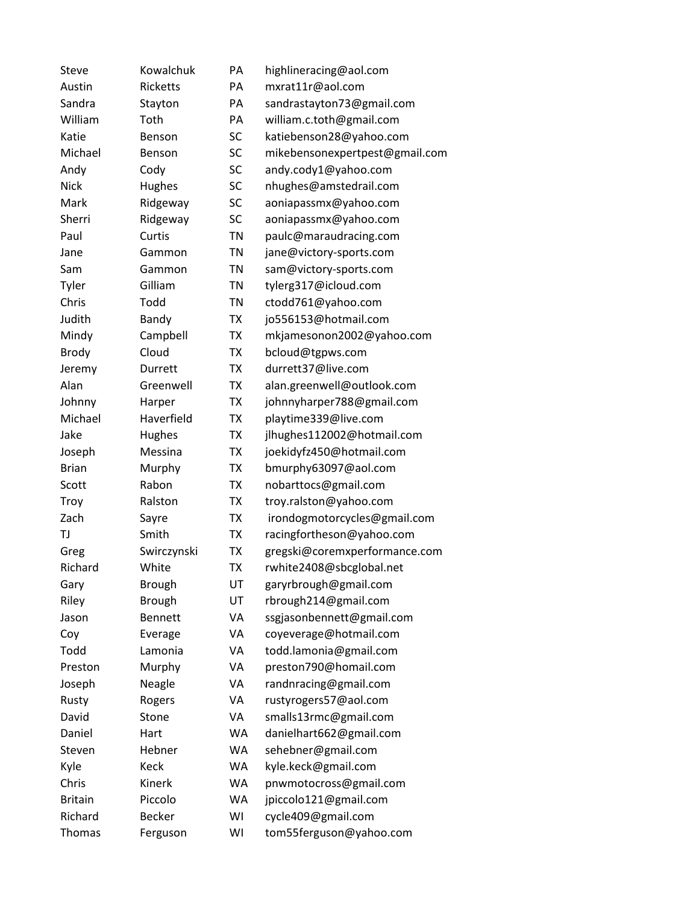| Steve          | Kowalchuk       | PA        | highlineracing@aol.com         |
|----------------|-----------------|-----------|--------------------------------|
| Austin         | <b>Ricketts</b> | PA        | mxrat11r@aol.com               |
| Sandra         | Stayton         | PA        | sandrastayton73@gmail.com      |
| William        | Toth            | PA        | william.c.toth@gmail.com       |
| Katie          | Benson          | SC        | katiebenson28@yahoo.com        |
| Michael        | Benson          | SC        | mikebensonexpertpest@gmail.com |
| Andy           | Cody            | SC        | andy.cody1@yahoo.com           |
| Nick           | Hughes          | SC        | nhughes@amstedrail.com         |
| Mark           | Ridgeway        | SC        | aoniapassmx@yahoo.com          |
| Sherri         | Ridgeway        | SC        | aoniapassmx@yahoo.com          |
| Paul           | Curtis          | <b>TN</b> | paulc@maraudracing.com         |
| Jane           | Gammon          | <b>TN</b> | jane@victory-sports.com        |
| Sam            | Gammon          | <b>TN</b> | sam@victory-sports.com         |
| Tyler          | Gilliam         | <b>TN</b> | tylerg317@icloud.com           |
| Chris          | Todd            | <b>TN</b> | ctodd761@yahoo.com             |
| Judith         | Bandy           | <b>TX</b> | jo556153@hotmail.com           |
| Mindy          | Campbell        | TX        | mkjamesonon2002@yahoo.com      |
| <b>Brody</b>   | Cloud           | <b>TX</b> | bcloud@tgpws.com               |
| Jeremy         | Durrett         | <b>TX</b> | durrett37@live.com             |
| Alan           | Greenwell       | <b>TX</b> | alan.greenwell@outlook.com     |
| Johnny         | Harper          | <b>TX</b> | johnnyharper788@gmail.com      |
| Michael        | Haverfield      | <b>TX</b> | playtime339@live.com           |
| Jake           | Hughes          | <b>TX</b> | jlhughes112002@hotmail.com     |
| Joseph         | Messina         | <b>TX</b> | joekidyfz450@hotmail.com       |
| <b>Brian</b>   | Murphy          | <b>TX</b> | bmurphy63097@aol.com           |
| Scott          | Rabon           | <b>TX</b> | nobarttocs@gmail.com           |
| Troy           | Ralston         | <b>TX</b> | troy.ralston@yahoo.com         |
| Zach           | Sayre           | <b>TX</b> | irondogmotorcycles@gmail.com   |
| TJ             | Smith           | <b>TX</b> | racingfortheson@yahoo.com      |
| Greg           | Swirczynski     | <b>TX</b> | gregski@coremxperformance.com  |
| Richard        | White           | <b>TX</b> | rwhite2408@sbcglobal.net       |
| Gary           | <b>Brough</b>   | UT        | garyrbrough@gmail.com          |
| Riley          | <b>Brough</b>   | UT        | rbrough214@gmail.com           |
| Jason          | <b>Bennett</b>  | VA        | ssgjasonbennett@gmail.com      |
| Coy            | Everage         | VA        | coyeverage@hotmail.com         |
| Todd           | Lamonia         | VA        | todd.lamonia@gmail.com         |
| Preston        | Murphy          | VA        | preston790@homail.com          |
| Joseph         | Neagle          | VA        | randnracing@gmail.com          |
| Rusty          | Rogers          | VA        | rustyrogers57@aol.com          |
| David          | Stone           | VA        | smalls13rmc@gmail.com          |
| Daniel         | Hart            | <b>WA</b> | danielhart662@gmail.com        |
| Steven         | Hebner          | WA        | sehebner@gmail.com             |
| Kyle           | Keck            | <b>WA</b> | kyle.keck@gmail.com            |
| Chris          | Kinerk          | WA        | pnwmotocross@gmail.com         |
| <b>Britain</b> | Piccolo         | WA        | jpiccolo121@gmail.com          |
| Richard        | <b>Becker</b>   | WI        | cycle409@gmail.com             |
| Thomas         | Ferguson        | WI        | tom55ferguson@yahoo.com        |